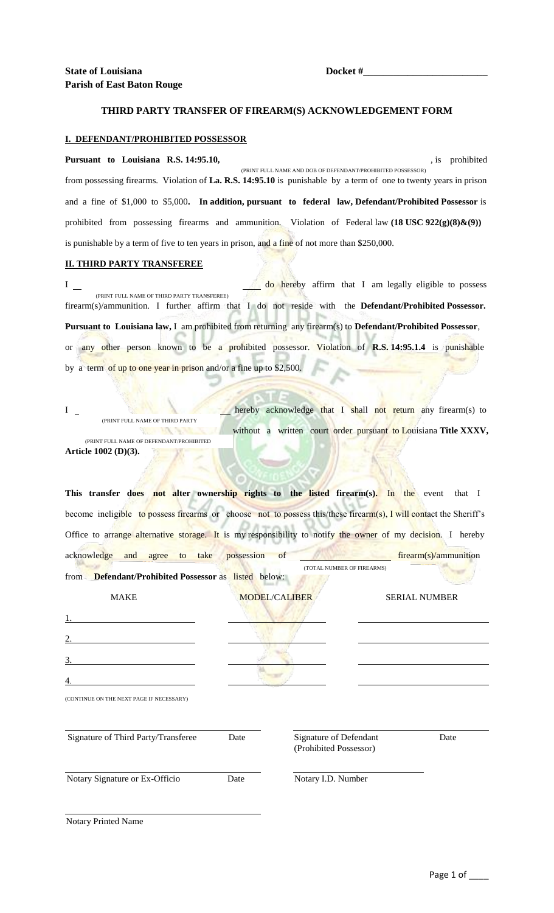## **THIRD PARTY TRANSFER OF FIREARM(S) ACKNOWLEDGEMENT FORM**

## **I. DEFENDANT/PROHIBITED POSSESSOR**

Pursuant to Louisiana R.S. 14:95.10, **pursuant to Louisiana R.S. 14:95.10**, from possessing firearms. Violation of **La. R.S. 14:95.10** is punishable by a term of one to twenty years in prison and a fine of \$1,000 to \$5,000**. In addition, pursuant to federal law, Defendant/Prohibited Possessor** is prohibited from possessing firearms and ammunition. Violation of Federal law (18 USC 922(g)(8)&(9)) is punishable by a term of five to ten years in prison, and a fine of not more than \$250,000. (PRINT FULL NAME AND DOB OF DEFENDANT/PROHIBITED POSSESSOR)

## **II. THIRD PARTY TRANSFEREE**

I do hereby affirm that I am legally eligible to possess firearm(s)/ammunition. I further affirm that I do not reside with the **Defendant/Prohibited Possessor. Pursuant to Louisiana law,** I am prohibited from returning any firearm(s) to **Defendant/Prohibited Possessor**, or any other person known to be a prohibited possessor. Violation of **R.S. 14:95.1.4** is punishable by a term of up to one year in prison and/or a fine up to \$2,500. (PRINT FULL NAME OF THIRD PARTY TRANSFEREE)

I hereby acknowledge that I shall not return any firearm(s) to without a written court order pursuant to Louisiana **Title XXXV**, **Article 1002 (D)(3).** (PRINT FULL NAME OF DEFENDANT/PROHIBITED (PRINT FULL NAME OF THIRD PARTY TRANSFEREE)

This transfer does not alter ownership rights to the listed firearm(s). In the event that I become ineligible to possess firearms or choose not to possess this/these firearm(s), I will contact the Sheriff's Office to arrange alternative storage. It is my responsibility to notify the owner of my decision. I hereby acknowledge and agree to take possession of firearm(s)/ammunition from **Defendant/Prohibited Possessor** as listed below: (TOTAL NUMBER OF FIREARMS)

| <b>MAKE</b>                              | <b>MODEL/CALIBER</b> |                                                  | <b>SERIAL NUMBER</b> |  |
|------------------------------------------|----------------------|--------------------------------------------------|----------------------|--|
| 1.                                       |                      |                                                  |                      |  |
| $\overline{2}$ .                         |                      |                                                  |                      |  |
| 3.                                       |                      |                                                  |                      |  |
| 4.                                       |                      |                                                  |                      |  |
| (CONTINUE ON THE NEXT PAGE IF NECESSARY) |                      |                                                  |                      |  |
| Signature of Third Party/Transferee      | Date                 | Signature of Defendant<br>(Prohibited Possessor) | Date                 |  |
| Notary Signature or Ex-Officio           | Date                 | Notary I.D. Number                               |                      |  |
|                                          |                      |                                                  |                      |  |